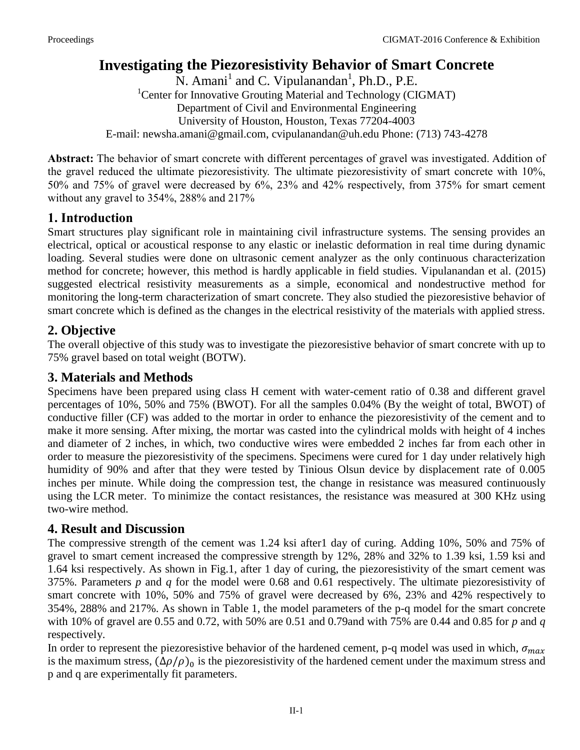# **Investigating the Piezoresistivity Behavior of Smart Concrete**

N. Amani<sup>1</sup> and C. Vipulanandan<sup>1</sup>, Ph.D., P.E. <sup>1</sup>Center for Innovative Grouting Material and Technology (CIGMAT) Department of Civil and Environmental Engineering University of Houston, Houston, Texas 77204-4003 E-mail: [newsha.amani@gmail.com,](mailto:newsha.amani@gmail.com) cvipulanandan@uh.edu Phone: (713) 743-4278

**Abstract:** The behavior of smart concrete with different percentages of gravel was investigated. Addition of the gravel reduced the ultimate piezoresistivity. The ultimate piezoresistivity of smart concrete with 10%, 50% and 75% of gravel were decreased by 6%, 23% and 42% respectively, from 375% for smart cement without any gravel to 354%, 288% and 217%

# **1. Introduction**

Smart structures play significant role in maintaining civil infrastructure systems. The sensing provides an electrical, optical or acoustical response to any elastic or inelastic deformation in real time during dynamic loading. Several studies were done on ultrasonic cement analyzer as the only continuous characterization method for concrete; however, this method is hardly applicable in field studies. Vipulanandan et al. (2015) suggested electrical resistivity measurements as a simple, economical and nondestructive method for monitoring the long-term characterization of smart concrete. They also studied the piezoresistive behavior of smart concrete which is defined as the changes in the electrical resistivity of the materials with applied stress.

# **2. Objective**

The overall objective of this study was to investigate the piezoresistive behavior of smart concrete with up to 75% gravel based on total weight (BOTW).

#### **3. Materials and Methods**

Specimens have been prepared using class H cement with water-cement ratio of 0.38 and different gravel percentages of 10%, 50% and 75% (BWOT). For all the samples 0.04% (By the weight of total, BWOT) of conductive filler (CF) was added to the mortar in order to enhance the piezoresistivity of the cement and to make it more sensing. After mixing, the mortar was casted into the cylindrical molds with height of 4 inches and diameter of 2 inches, in which, two conductive wires were embedded 2 inches far from each other in order to measure the piezoresistivity of the specimens. Specimens were cured for 1 day under relatively high humidity of 90% and after that they were tested by Tinious Olsun device by displacement rate of 0.005 inches per minute. While doing the compression test, the change in resistance was measured continuously using the LCR meter. To minimize the contact resistances, the resistance was measured at 300 KHz using two-wire method.

## **4. Result and Discussion**

The compressive strength of the cement was 1.24 ksi after1 day of curing. Adding 10%, 50% and 75% of gravel to smart cement increased the compressive strength by 12%, 28% and 32% to 1.39 ksi, 1.59 ksi and 1.64 ksi respectively. As shown in Fig.1, after 1 day of curing, the piezoresistivity of the smart cement was 375%. Parameters *p* and *q* for the model were 0.68 and 0.61 respectively. The ultimate piezoresistivity of smart concrete with 10%, 50% and 75% of gravel were decreased by 6%, 23% and 42% respectively to 354%, 288% and 217%. As shown in Table 1, the model parameters of the p-q model for the smart concrete with 10% of gravel are 0.55 and 0.72, with 50% are 0.51 and 0.79and with 75% are 0.44 and 0.85 for *p* and *q*  respectively.

In order to represent the piezoresistive behavior of the hardened cement, p-q model was used in which,  $\sigma_{max}$ is the maximum stress,  $(\Delta \rho/\rho)$  is the piezoresistivity of the hardened cement under the maximum stress and p and q are experimentally fit parameters.